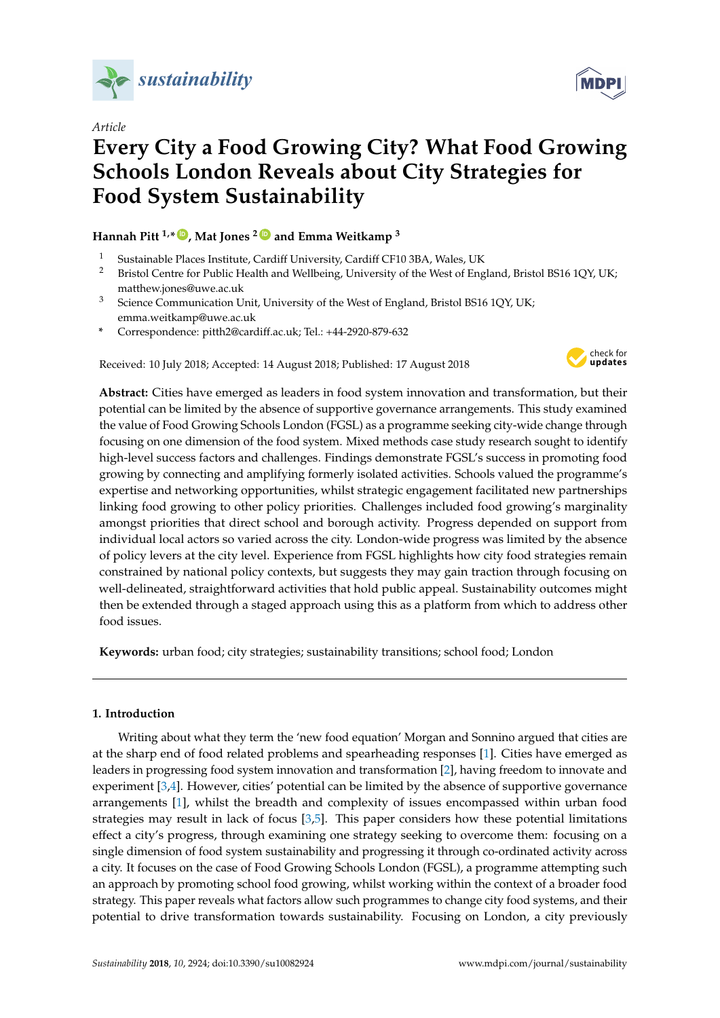

*Article*



# **Every City a Food Growing City? What Food Growing Schools London Reveals about City Strategies for Food System Sustainability**

# **Hannah Pitt 1,\* [ID](https://orcid.org/0000-0002-9636-7581) , Mat Jones <sup>2</sup> [ID](https://orcid.org/0000-0003-3692-8065) and Emma Weitkamp <sup>3</sup>**

- <sup>1</sup> Sustainable Places Institute, Cardiff University, Cardiff CF10 3BA, Wales, UK<br><sup>2</sup> Bristol Contra for Public Hoalth and Wallboing, University of the West of Eng
- <sup>2</sup> Bristol Centre for Public Health and Wellbeing, University of the West of England, Bristol BS16 1QY, UK; matthew.jones@uwe.ac.uk
- <sup>3</sup> Science Communication Unit, University of the West of England, Bristol BS16 1QY, UK; emma.weitkamp@uwe.ac.uk
- **\*** Correspondence: pitth2@cardiff.ac.uk; Tel.: +44-2920-879-632

Received: 10 July 2018; Accepted: 14 August 2018; Published: 17 August 2018



**Abstract:** Cities have emerged as leaders in food system innovation and transformation, but their potential can be limited by the absence of supportive governance arrangements. This study examined the value of Food Growing Schools London (FGSL) as a programme seeking city-wide change through focusing on one dimension of the food system. Mixed methods case study research sought to identify high-level success factors and challenges. Findings demonstrate FGSL's success in promoting food growing by connecting and amplifying formerly isolated activities. Schools valued the programme's expertise and networking opportunities, whilst strategic engagement facilitated new partnerships linking food growing to other policy priorities. Challenges included food growing's marginality amongst priorities that direct school and borough activity. Progress depended on support from individual local actors so varied across the city. London-wide progress was limited by the absence of policy levers at the city level. Experience from FGSL highlights how city food strategies remain constrained by national policy contexts, but suggests they may gain traction through focusing on well-delineated, straightforward activities that hold public appeal. Sustainability outcomes might then be extended through a staged approach using this as a platform from which to address other food issues.

**Keywords:** urban food; city strategies; sustainability transitions; school food; London

# **1. Introduction**

Writing about what they term the 'new food equation' Morgan and Sonnino argued that cities are at the sharp end of food related problems and spearheading responses [\[1\]](#page-13-0). Cities have emerged as leaders in progressing food system innovation and transformation [\[2\]](#page-14-0), having freedom to innovate and experiment [\[3,](#page-14-1)[4\]](#page-14-2). However, cities' potential can be limited by the absence of supportive governance arrangements [\[1\]](#page-13-0), whilst the breadth and complexity of issues encompassed within urban food strategies may result in lack of focus [\[3,](#page-14-1)[5\]](#page-14-3). This paper considers how these potential limitations effect a city's progress, through examining one strategy seeking to overcome them: focusing on a single dimension of food system sustainability and progressing it through co-ordinated activity across a city. It focuses on the case of Food Growing Schools London (FGSL), a programme attempting such an approach by promoting school food growing, whilst working within the context of a broader food strategy. This paper reveals what factors allow such programmes to change city food systems, and their potential to drive transformation towards sustainability. Focusing on London, a city previously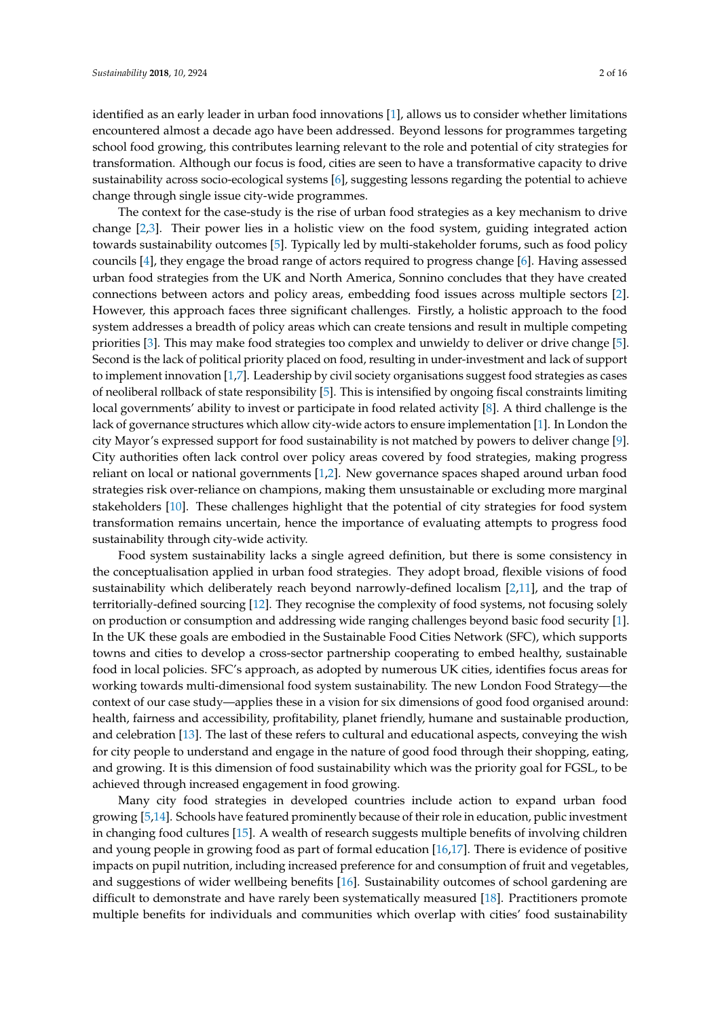identified as an early leader in urban food innovations [\[1\]](#page-13-0), allows us to consider whether limitations encountered almost a decade ago have been addressed. Beyond lessons for programmes targeting school food growing, this contributes learning relevant to the role and potential of city strategies for transformation. Although our focus is food, cities are seen to have a transformative capacity to drive sustainability across socio-ecological systems [\[6\]](#page-14-4), suggesting lessons regarding the potential to achieve change through single issue city-wide programmes.

The context for the case-study is the rise of urban food strategies as a key mechanism to drive change [\[2](#page-14-0)[,3\]](#page-14-1). Their power lies in a holistic view on the food system, guiding integrated action towards sustainability outcomes [\[5\]](#page-14-3). Typically led by multi-stakeholder forums, such as food policy councils [\[4\]](#page-14-2), they engage the broad range of actors required to progress change [\[6\]](#page-14-4). Having assessed urban food strategies from the UK and North America, Sonnino concludes that they have created connections between actors and policy areas, embedding food issues across multiple sectors [\[2\]](#page-14-0). However, this approach faces three significant challenges. Firstly, a holistic approach to the food system addresses a breadth of policy areas which can create tensions and result in multiple competing priorities [\[3\]](#page-14-1). This may make food strategies too complex and unwieldy to deliver or drive change [\[5\]](#page-14-3). Second is the lack of political priority placed on food, resulting in under-investment and lack of support to implement innovation [\[1](#page-13-0)[,7\]](#page-14-5). Leadership by civil society organisations suggest food strategies as cases of neoliberal rollback of state responsibility [\[5\]](#page-14-3). This is intensified by ongoing fiscal constraints limiting local governments' ability to invest or participate in food related activity [\[8\]](#page-14-6). A third challenge is the lack of governance structures which allow city-wide actors to ensure implementation [\[1\]](#page-13-0). In London the city Mayor's expressed support for food sustainability is not matched by powers to deliver change [\[9\]](#page-14-7). City authorities often lack control over policy areas covered by food strategies, making progress reliant on local or national governments [\[1,](#page-13-0)[2\]](#page-14-0). New governance spaces shaped around urban food strategies risk over-reliance on champions, making them unsustainable or excluding more marginal stakeholders [\[10\]](#page-14-8). These challenges highlight that the potential of city strategies for food system transformation remains uncertain, hence the importance of evaluating attempts to progress food sustainability through city-wide activity.

Food system sustainability lacks a single agreed definition, but there is some consistency in the conceptualisation applied in urban food strategies. They adopt broad, flexible visions of food sustainability which deliberately reach beyond narrowly-defined localism [\[2,](#page-14-0)[11\]](#page-14-9), and the trap of territorially-defined sourcing [\[12\]](#page-14-10). They recognise the complexity of food systems, not focusing solely on production or consumption and addressing wide ranging challenges beyond basic food security [\[1\]](#page-13-0). In the UK these goals are embodied in the Sustainable Food Cities Network (SFC), which supports towns and cities to develop a cross-sector partnership cooperating to embed healthy, sustainable food in local policies. SFC's approach, as adopted by numerous UK cities, identifies focus areas for working towards multi-dimensional food system sustainability. The new London Food Strategy—the context of our case study—applies these in a vision for six dimensions of good food organised around: health, fairness and accessibility, profitability, planet friendly, humane and sustainable production, and celebration [\[13\]](#page-14-11). The last of these refers to cultural and educational aspects, conveying the wish for city people to understand and engage in the nature of good food through their shopping, eating, and growing. It is this dimension of food sustainability which was the priority goal for FGSL, to be achieved through increased engagement in food growing.

Many city food strategies in developed countries include action to expand urban food growing [\[5,](#page-14-3)[14\]](#page-14-12). Schools have featured prominently because of their role in education, public investment in changing food cultures [\[15\]](#page-14-13). A wealth of research suggests multiple benefits of involving children and young people in growing food as part of formal education [\[16,](#page-14-14)[17\]](#page-14-15). There is evidence of positive impacts on pupil nutrition, including increased preference for and consumption of fruit and vegetables, and suggestions of wider wellbeing benefits [\[16\]](#page-14-14). Sustainability outcomes of school gardening are difficult to demonstrate and have rarely been systematically measured [\[18\]](#page-14-16). Practitioners promote multiple benefits for individuals and communities which overlap with cities' food sustainability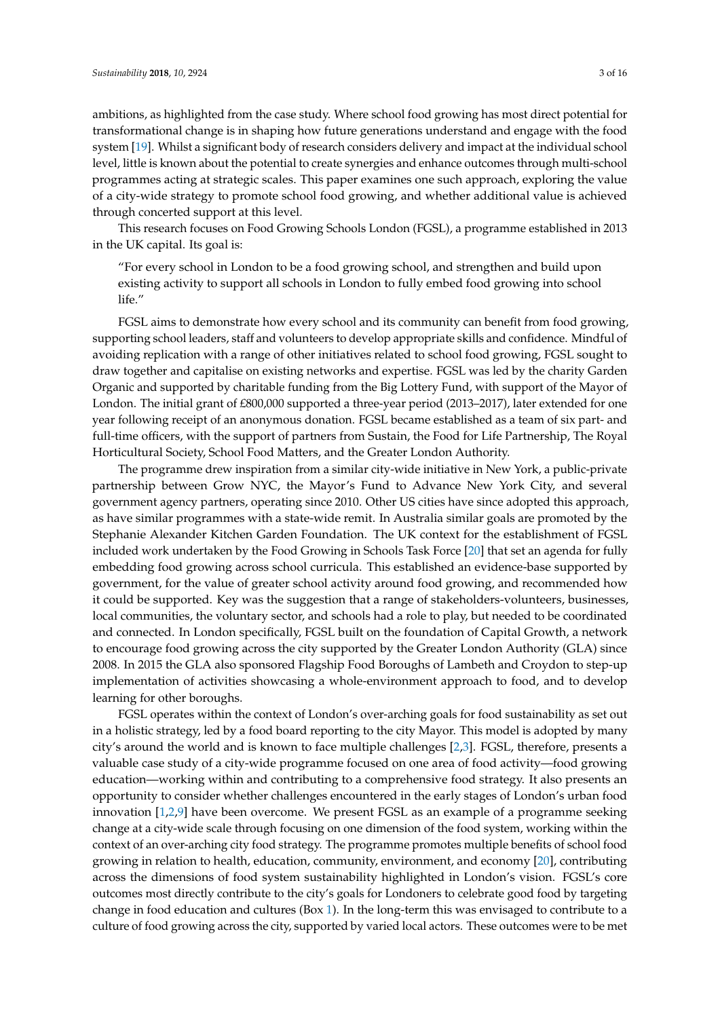ambitions, as highlighted from the case study. Where school food growing has most direct potential for transformational change is in shaping how future generations understand and engage with the food system [\[19\]](#page-14-17). Whilst a significant body of research considers delivery and impact at the individual school level, little is known about the potential to create synergies and enhance outcomes through multi-school programmes acting at strategic scales. This paper examines one such approach, exploring the value of a city-wide strategy to promote school food growing, and whether additional value is achieved through concerted support at this level.

This research focuses on Food Growing Schools London (FGSL), a programme established in 2013 in the UK capital. Its goal is:

"For every school in London to be a food growing school, and strengthen and build upon existing activity to support all schools in London to fully embed food growing into school life."

FGSL aims to demonstrate how every school and its community can benefit from food growing, supporting school leaders, staff and volunteers to develop appropriate skills and confidence. Mindful of avoiding replication with a range of other initiatives related to school food growing, FGSL sought to draw together and capitalise on existing networks and expertise. FGSL was led by the charity Garden Organic and supported by charitable funding from the Big Lottery Fund, with support of the Mayor of London. The initial grant of £800,000 supported a three-year period (2013–2017), later extended for one year following receipt of an anonymous donation. FGSL became established as a team of six part- and full-time officers, with the support of partners from Sustain, the Food for Life Partnership, The Royal Horticultural Society, School Food Matters, and the Greater London Authority.

The programme drew inspiration from a similar city-wide initiative in New York, a public-private partnership between Grow NYC, the Mayor's Fund to Advance New York City, and several government agency partners, operating since 2010. Other US cities have since adopted this approach, as have similar programmes with a state-wide remit. In Australia similar goals are promoted by the Stephanie Alexander Kitchen Garden Foundation. The UK context for the establishment of FGSL included work undertaken by the Food Growing in Schools Task Force [\[20\]](#page-14-18) that set an agenda for fully embedding food growing across school curricula. This established an evidence-base supported by government, for the value of greater school activity around food growing, and recommended how it could be supported. Key was the suggestion that a range of stakeholders-volunteers, businesses, local communities, the voluntary sector, and schools had a role to play, but needed to be coordinated and connected. In London specifically, FGSL built on the foundation of Capital Growth, a network to encourage food growing across the city supported by the Greater London Authority (GLA) since 2008. In 2015 the GLA also sponsored Flagship Food Boroughs of Lambeth and Croydon to step-up implementation of activities showcasing a whole-environment approach to food, and to develop learning for other boroughs.

FGSL operates within the context of London's over-arching goals for food sustainability as set out in a holistic strategy, led by a food board reporting to the city Mayor. This model is adopted by many city's around the world and is known to face multiple challenges [\[2](#page-14-0)[,3\]](#page-14-1). FGSL, therefore, presents a valuable case study of a city-wide programme focused on one area of food activity—food growing education—working within and contributing to a comprehensive food strategy. It also presents an opportunity to consider whether challenges encountered in the early stages of London's urban food innovation [\[1](#page-13-0)[,2](#page-14-0)[,9\]](#page-14-7) have been overcome. We present FGSL as an example of a programme seeking change at a city-wide scale through focusing on one dimension of the food system, working within the context of an over-arching city food strategy. The programme promotes multiple benefits of school food growing in relation to health, education, community, environment, and economy [\[20\]](#page-14-18), contributing across the dimensions of food system sustainability highlighted in London's vision. FGSL's core outcomes most directly contribute to the city's goals for Londoners to celebrate good food by targeting change in food education and cultures (Box [1\)](#page-3-0). In the long-term this was envisaged to contribute to a culture of food growing across the city, supported by varied local actors. These outcomes were to be met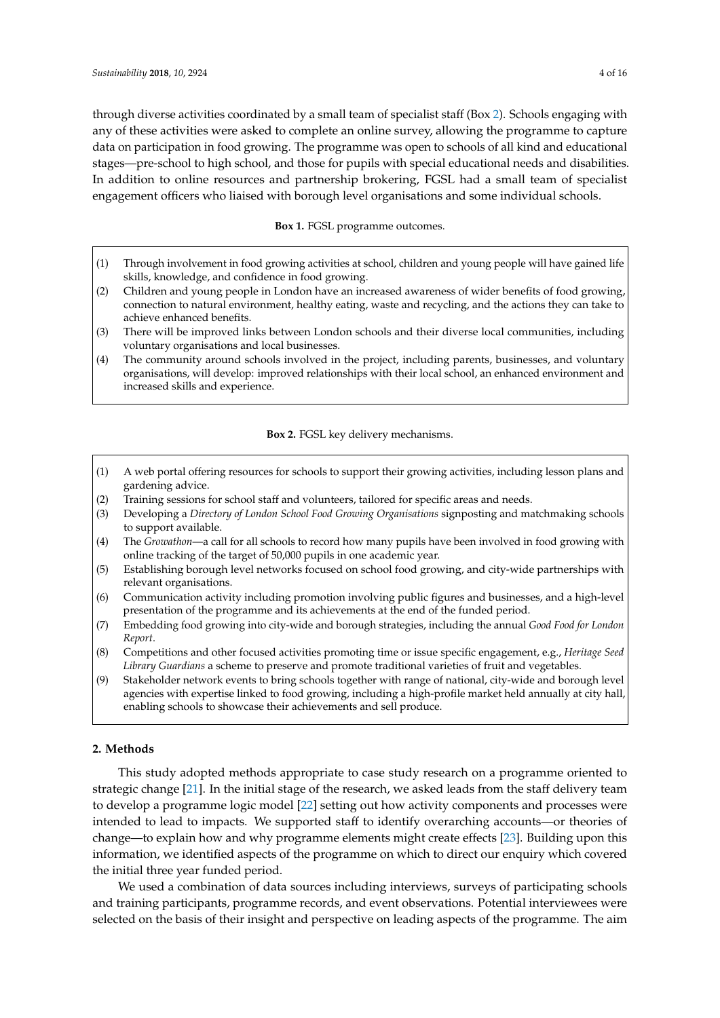through diverse activities coordinated by a small team of specialist staff (Box [2\)](#page-3-1). Schools engaging with any of these activities were asked to complete an online survey, allowing the programme to capture data on participation in food growing. The programme was open to schools of all kind and educational stages—pre-school to high school, and those for pupils with special educational needs and disabilities. In addition to online resources and partnership brokering, FGSL had a small team of specialist engagement officers who liaised with borough level organisations and some individual schools.

# **Box 1.** FGSL programme outcomes.

- <span id="page-3-0"></span>(1) Through involvement in food growing activities at school, children and young people will have gained life skills, knowledge, and confidence in food growing.
- (2) Children and young people in London have an increased awareness of wider benefits of food growing, connection to natural environment, healthy eating, waste and recycling, and the actions they can take to achieve enhanced benefits.
- (3) There will be improved links between London schools and their diverse local communities, including voluntary organisations and local businesses.
- (4) The community around schools involved in the project, including parents, businesses, and voluntary organisations, will develop: improved relationships with their local school, an enhanced environment and increased skills and experience.

**Box 2.** FGSL key delivery mechanisms.

- <span id="page-3-1"></span>(1) A web portal offering resources for schools to support their growing activities, including lesson plans and gardening advice.
- (2) Training sessions for school staff and volunteers, tailored for specific areas and needs.
- (3) Developing a *Directory of London School Food Growing Organisations* signposting and matchmaking schools to support available.
- (4) The *Growathon*—a call for all schools to record how many pupils have been involved in food growing with online tracking of the target of 50,000 pupils in one academic year.
- (5) Establishing borough level networks focused on school food growing, and city-wide partnerships with relevant organisations.
- (6) Communication activity including promotion involving public figures and businesses, and a high-level presentation of the programme and its achievements at the end of the funded period.
- (7) Embedding food growing into city-wide and borough strategies, including the annual *Good Food for London Report*.
- (8) Competitions and other focused activities promoting time or issue specific engagement, e.g., *Heritage Seed Library Guardians* a scheme to preserve and promote traditional varieties of fruit and vegetables.
- (9) Stakeholder network events to bring schools together with range of national, city-wide and borough level agencies with expertise linked to food growing, including a high-profile market held annually at city hall, enabling schools to showcase their achievements and sell produce.

# **2. Methods**

This study adopted methods appropriate to case study research on a programme oriented to strategic change [\[21\]](#page-14-19). In the initial stage of the research, we asked leads from the staff delivery team to develop a programme logic model [\[22\]](#page-14-20) setting out how activity components and processes were intended to lead to impacts. We supported staff to identify overarching accounts—or theories of change—to explain how and why programme elements might create effects [\[23\]](#page-14-21). Building upon this information, we identified aspects of the programme on which to direct our enquiry which covered the initial three year funded period.

We used a combination of data sources including interviews, surveys of participating schools and training participants, programme records, and event observations. Potential interviewees were selected on the basis of their insight and perspective on leading aspects of the programme. The aim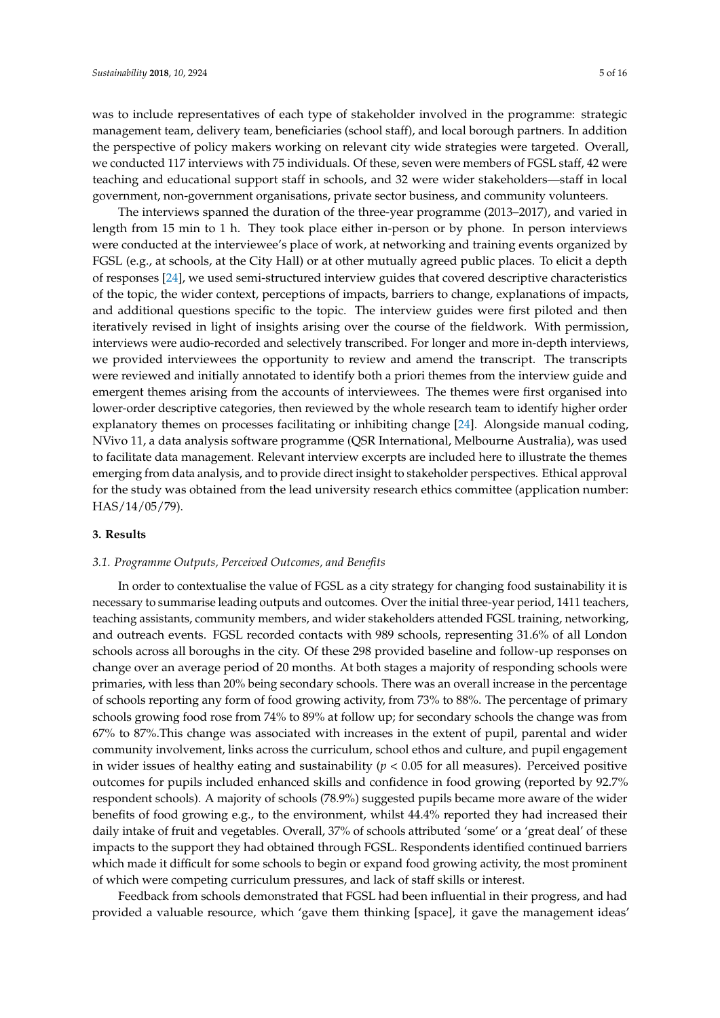was to include representatives of each type of stakeholder involved in the programme: strategic management team, delivery team, beneficiaries (school staff), and local borough partners. In addition the perspective of policy makers working on relevant city wide strategies were targeted. Overall, we conducted 117 interviews with 75 individuals. Of these, seven were members of FGSL staff, 42 were teaching and educational support staff in schools, and 32 were wider stakeholders—staff in local government, non-government organisations, private sector business, and community volunteers.

The interviews spanned the duration of the three-year programme (2013–2017), and varied in length from 15 min to 1 h. They took place either in-person or by phone. In person interviews were conducted at the interviewee's place of work, at networking and training events organized by FGSL (e.g., at schools, at the City Hall) or at other mutually agreed public places. To elicit a depth of responses [\[24\]](#page-14-22), we used semi-structured interview guides that covered descriptive characteristics of the topic, the wider context, perceptions of impacts, barriers to change, explanations of impacts, and additional questions specific to the topic. The interview guides were first piloted and then iteratively revised in light of insights arising over the course of the fieldwork. With permission, interviews were audio-recorded and selectively transcribed. For longer and more in-depth interviews, we provided interviewees the opportunity to review and amend the transcript. The transcripts were reviewed and initially annotated to identify both a priori themes from the interview guide and emergent themes arising from the accounts of interviewees. The themes were first organised into lower-order descriptive categories, then reviewed by the whole research team to identify higher order explanatory themes on processes facilitating or inhibiting change [\[24\]](#page-14-22). Alongside manual coding, NVivo 11, a data analysis software programme (QSR International, Melbourne Australia), was used to facilitate data management. Relevant interview excerpts are included here to illustrate the themes emerging from data analysis, and to provide direct insight to stakeholder perspectives. Ethical approval for the study was obtained from the lead university research ethics committee (application number: HAS/14/05/79).

# **3. Results**

#### *3.1. Programme Outputs, Perceived Outcomes, and Benefits*

In order to contextualise the value of FGSL as a city strategy for changing food sustainability it is necessary to summarise leading outputs and outcomes. Over the initial three-year period, 1411 teachers, teaching assistants, community members, and wider stakeholders attended FGSL training, networking, and outreach events. FGSL recorded contacts with 989 schools, representing 31.6% of all London schools across all boroughs in the city. Of these 298 provided baseline and follow-up responses on change over an average period of 20 months. At both stages a majority of responding schools were primaries, with less than 20% being secondary schools. There was an overall increase in the percentage of schools reporting any form of food growing activity, from 73% to 88%. The percentage of primary schools growing food rose from 74% to 89% at follow up; for secondary schools the change was from 67% to 87%.This change was associated with increases in the extent of pupil, parental and wider community involvement, links across the curriculum, school ethos and culture, and pupil engagement in wider issues of healthy eating and sustainability ( $p < 0.05$  for all measures). Perceived positive outcomes for pupils included enhanced skills and confidence in food growing (reported by 92.7% respondent schools). A majority of schools (78.9%) suggested pupils became more aware of the wider benefits of food growing e.g., to the environment, whilst 44.4% reported they had increased their daily intake of fruit and vegetables. Overall, 37% of schools attributed 'some' or a 'great deal' of these impacts to the support they had obtained through FGSL. Respondents identified continued barriers which made it difficult for some schools to begin or expand food growing activity, the most prominent of which were competing curriculum pressures, and lack of staff skills or interest.

Feedback from schools demonstrated that FGSL had been influential in their progress, and had provided a valuable resource, which 'gave them thinking [space], it gave the management ideas'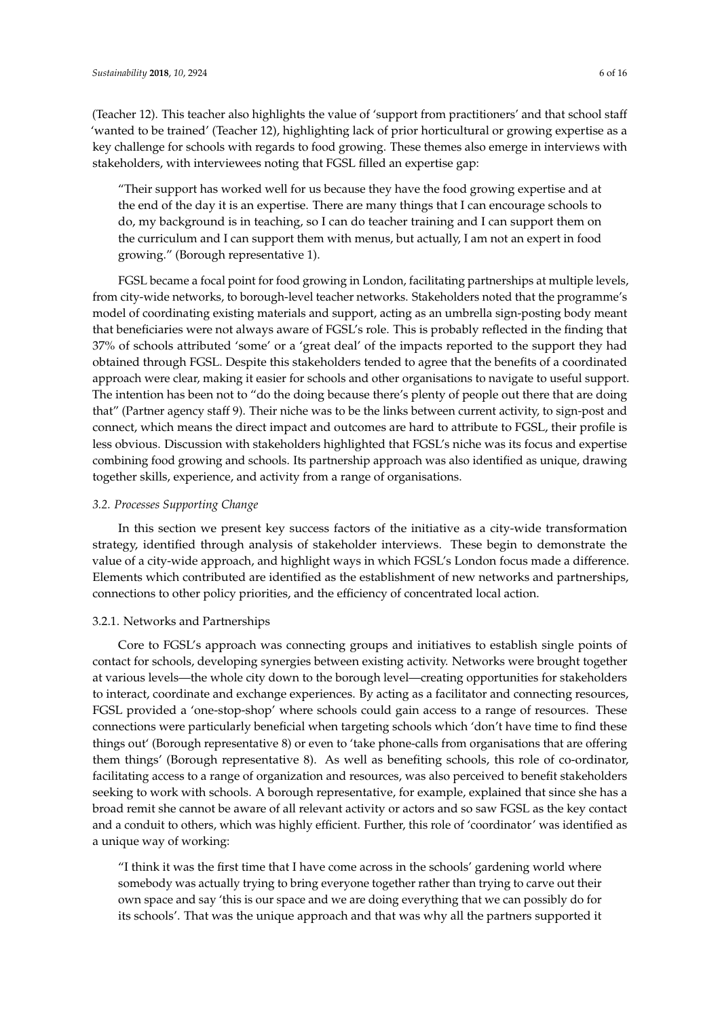(Teacher 12). This teacher also highlights the value of 'support from practitioners' and that school staff 'wanted to be trained' (Teacher 12), highlighting lack of prior horticultural or growing expertise as a key challenge for schools with regards to food growing. These themes also emerge in interviews with stakeholders, with interviewees noting that FGSL filled an expertise gap:

"Their support has worked well for us because they have the food growing expertise and at the end of the day it is an expertise. There are many things that I can encourage schools to do, my background is in teaching, so I can do teacher training and I can support them on the curriculum and I can support them with menus, but actually, I am not an expert in food growing." (Borough representative 1).

FGSL became a focal point for food growing in London, facilitating partnerships at multiple levels, from city-wide networks, to borough-level teacher networks. Stakeholders noted that the programme's model of coordinating existing materials and support, acting as an umbrella sign-posting body meant that beneficiaries were not always aware of FGSL's role. This is probably reflected in the finding that 37% of schools attributed 'some' or a 'great deal' of the impacts reported to the support they had obtained through FGSL. Despite this stakeholders tended to agree that the benefits of a coordinated approach were clear, making it easier for schools and other organisations to navigate to useful support. The intention has been not to "do the doing because there's plenty of people out there that are doing that" (Partner agency staff 9). Their niche was to be the links between current activity, to sign-post and connect, which means the direct impact and outcomes are hard to attribute to FGSL, their profile is less obvious. Discussion with stakeholders highlighted that FGSL's niche was its focus and expertise combining food growing and schools. Its partnership approach was also identified as unique, drawing together skills, experience, and activity from a range of organisations.

# *3.2. Processes Supporting Change*

In this section we present key success factors of the initiative as a city-wide transformation strategy, identified through analysis of stakeholder interviews. These begin to demonstrate the value of a city-wide approach, and highlight ways in which FGSL's London focus made a difference. Elements which contributed are identified as the establishment of new networks and partnerships, connections to other policy priorities, and the efficiency of concentrated local action.

# 3.2.1. Networks and Partnerships

Core to FGSL's approach was connecting groups and initiatives to establish single points of contact for schools, developing synergies between existing activity. Networks were brought together at various levels—the whole city down to the borough level—creating opportunities for stakeholders to interact, coordinate and exchange experiences. By acting as a facilitator and connecting resources, FGSL provided a 'one-stop-shop' where schools could gain access to a range of resources. These connections were particularly beneficial when targeting schools which 'don't have time to find these things out' (Borough representative 8) or even to 'take phone-calls from organisations that are offering them things' (Borough representative 8). As well as benefiting schools, this role of co-ordinator, facilitating access to a range of organization and resources, was also perceived to benefit stakeholders seeking to work with schools. A borough representative, for example, explained that since she has a broad remit she cannot be aware of all relevant activity or actors and so saw FGSL as the key contact and a conduit to others, which was highly efficient. Further, this role of 'coordinator' was identified as a unique way of working:

"I think it was the first time that I have come across in the schools' gardening world where somebody was actually trying to bring everyone together rather than trying to carve out their own space and say 'this is our space and we are doing everything that we can possibly do for its schools'. That was the unique approach and that was why all the partners supported it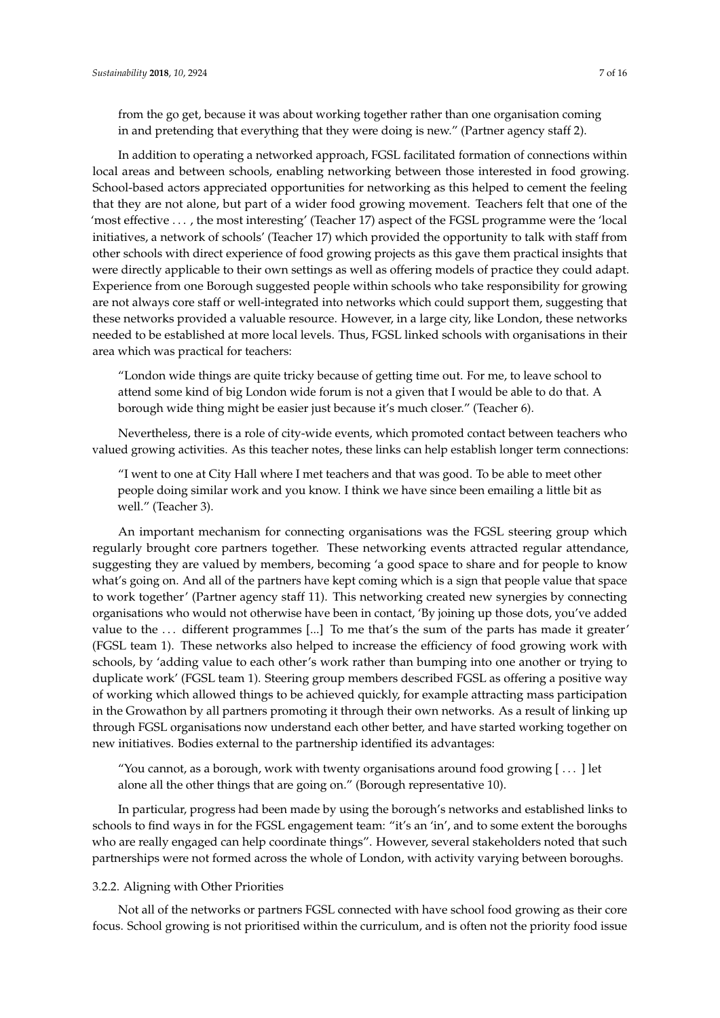from the go get, because it was about working together rather than one organisation coming in and pretending that everything that they were doing is new." (Partner agency staff 2).

In addition to operating a networked approach, FGSL facilitated formation of connections within local areas and between schools, enabling networking between those interested in food growing. School-based actors appreciated opportunities for networking as this helped to cement the feeling that they are not alone, but part of a wider food growing movement. Teachers felt that one of the 'most effective . . . , the most interesting' (Teacher 17) aspect of the FGSL programme were the 'local initiatives, a network of schools' (Teacher 17) which provided the opportunity to talk with staff from other schools with direct experience of food growing projects as this gave them practical insights that were directly applicable to their own settings as well as offering models of practice they could adapt. Experience from one Borough suggested people within schools who take responsibility for growing are not always core staff or well-integrated into networks which could support them, suggesting that these networks provided a valuable resource. However, in a large city, like London, these networks needed to be established at more local levels. Thus, FGSL linked schools with organisations in their area which was practical for teachers:

"London wide things are quite tricky because of getting time out. For me, to leave school to attend some kind of big London wide forum is not a given that I would be able to do that. A borough wide thing might be easier just because it's much closer." (Teacher 6).

Nevertheless, there is a role of city-wide events, which promoted contact between teachers who valued growing activities. As this teacher notes, these links can help establish longer term connections:

"I went to one at City Hall where I met teachers and that was good. To be able to meet other people doing similar work and you know. I think we have since been emailing a little bit as well." (Teacher 3).

An important mechanism for connecting organisations was the FGSL steering group which regularly brought core partners together. These networking events attracted regular attendance, suggesting they are valued by members, becoming 'a good space to share and for people to know what's going on. And all of the partners have kept coming which is a sign that people value that space to work together' (Partner agency staff 11). This networking created new synergies by connecting organisations who would not otherwise have been in contact, 'By joining up those dots, you've added value to the ... different programmes [...] To me that's the sum of the parts has made it greater' (FGSL team 1). These networks also helped to increase the efficiency of food growing work with schools, by 'adding value to each other's work rather than bumping into one another or trying to duplicate work' (FGSL team 1). Steering group members described FGSL as offering a positive way of working which allowed things to be achieved quickly, for example attracting mass participation in the Growathon by all partners promoting it through their own networks. As a result of linking up through FGSL organisations now understand each other better, and have started working together on new initiatives. Bodies external to the partnership identified its advantages:

"You cannot, as a borough, work with twenty organisations around food growing [ . . . ] let alone all the other things that are going on." (Borough representative 10).

In particular, progress had been made by using the borough's networks and established links to schools to find ways in for the FGSL engagement team: "it's an 'in', and to some extent the boroughs who are really engaged can help coordinate things". However, several stakeholders noted that such partnerships were not formed across the whole of London, with activity varying between boroughs.

#### 3.2.2. Aligning with Other Priorities

Not all of the networks or partners FGSL connected with have school food growing as their core focus. School growing is not prioritised within the curriculum, and is often not the priority food issue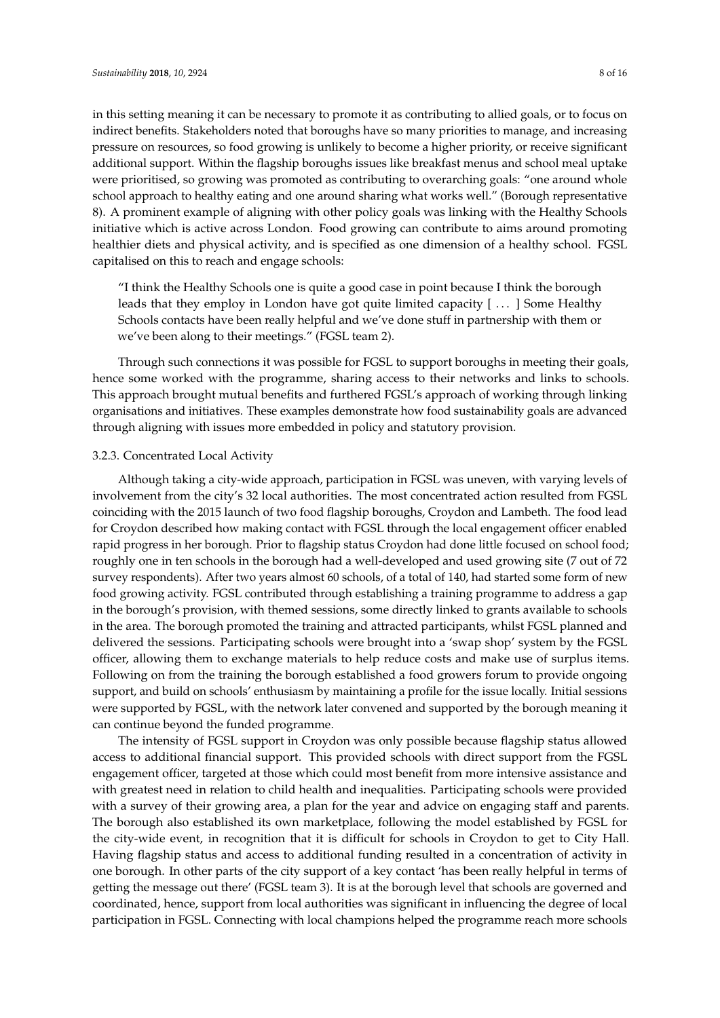in this setting meaning it can be necessary to promote it as contributing to allied goals, or to focus on indirect benefits. Stakeholders noted that boroughs have so many priorities to manage, and increasing pressure on resources, so food growing is unlikely to become a higher priority, or receive significant additional support. Within the flagship boroughs issues like breakfast menus and school meal uptake were prioritised, so growing was promoted as contributing to overarching goals: "one around whole school approach to healthy eating and one around sharing what works well." (Borough representative 8). A prominent example of aligning with other policy goals was linking with the Healthy Schools initiative which is active across London. Food growing can contribute to aims around promoting healthier diets and physical activity, and is specified as one dimension of a healthy school. FGSL capitalised on this to reach and engage schools:

"I think the Healthy Schools one is quite a good case in point because I think the borough leads that they employ in London have got quite limited capacity [...] Some Healthy Schools contacts have been really helpful and we've done stuff in partnership with them or we've been along to their meetings." (FGSL team 2).

Through such connections it was possible for FGSL to support boroughs in meeting their goals, hence some worked with the programme, sharing access to their networks and links to schools. This approach brought mutual benefits and furthered FGSL's approach of working through linking organisations and initiatives. These examples demonstrate how food sustainability goals are advanced through aligning with issues more embedded in policy and statutory provision.

### 3.2.3. Concentrated Local Activity

Although taking a city-wide approach, participation in FGSL was uneven, with varying levels of involvement from the city's 32 local authorities. The most concentrated action resulted from FGSL coinciding with the 2015 launch of two food flagship boroughs, Croydon and Lambeth. The food lead for Croydon described how making contact with FGSL through the local engagement officer enabled rapid progress in her borough. Prior to flagship status Croydon had done little focused on school food; roughly one in ten schools in the borough had a well-developed and used growing site (7 out of 72 survey respondents). After two years almost 60 schools, of a total of 140, had started some form of new food growing activity. FGSL contributed through establishing a training programme to address a gap in the borough's provision, with themed sessions, some directly linked to grants available to schools in the area. The borough promoted the training and attracted participants, whilst FGSL planned and delivered the sessions. Participating schools were brought into a 'swap shop' system by the FGSL officer, allowing them to exchange materials to help reduce costs and make use of surplus items. Following on from the training the borough established a food growers forum to provide ongoing support, and build on schools' enthusiasm by maintaining a profile for the issue locally. Initial sessions were supported by FGSL, with the network later convened and supported by the borough meaning it can continue beyond the funded programme.

The intensity of FGSL support in Croydon was only possible because flagship status allowed access to additional financial support. This provided schools with direct support from the FGSL engagement officer, targeted at those which could most benefit from more intensive assistance and with greatest need in relation to child health and inequalities. Participating schools were provided with a survey of their growing area, a plan for the year and advice on engaging staff and parents. The borough also established its own marketplace, following the model established by FGSL for the city-wide event, in recognition that it is difficult for schools in Croydon to get to City Hall. Having flagship status and access to additional funding resulted in a concentration of activity in one borough. In other parts of the city support of a key contact 'has been really helpful in terms of getting the message out there' (FGSL team 3). It is at the borough level that schools are governed and coordinated, hence, support from local authorities was significant in influencing the degree of local participation in FGSL. Connecting with local champions helped the programme reach more schools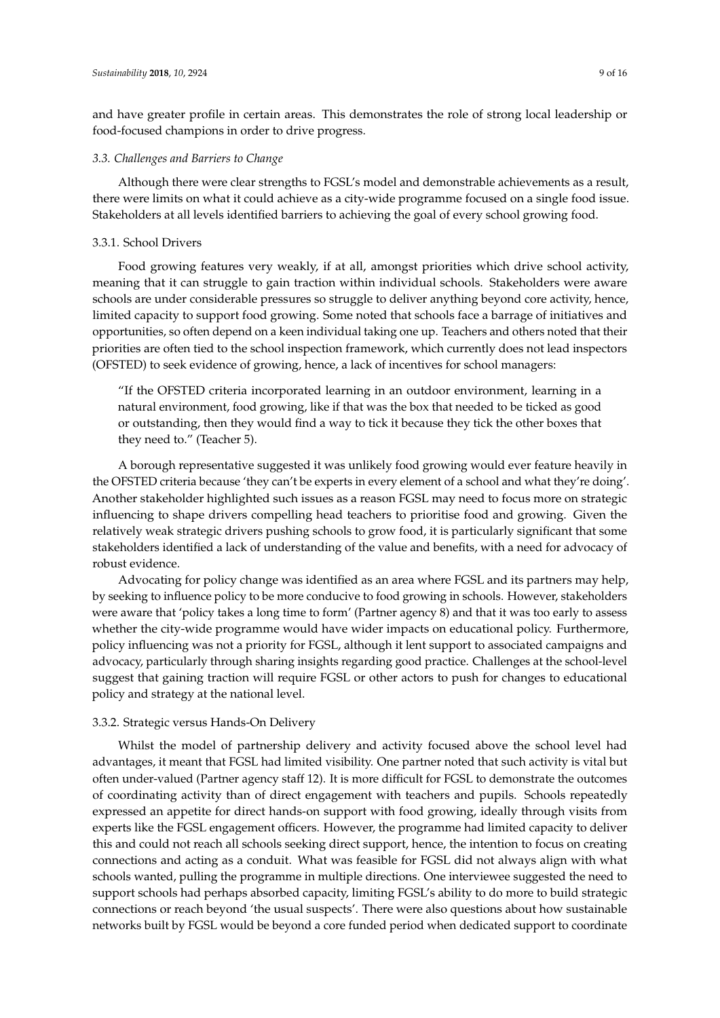and have greater profile in certain areas. This demonstrates the role of strong local leadership or food-focused champions in order to drive progress.

# *3.3. Challenges and Barriers to Change*

Although there were clear strengths to FGSL's model and demonstrable achievements as a result, there were limits on what it could achieve as a city-wide programme focused on a single food issue. Stakeholders at all levels identified barriers to achieving the goal of every school growing food.

# 3.3.1. School Drivers

Food growing features very weakly, if at all, amongst priorities which drive school activity, meaning that it can struggle to gain traction within individual schools. Stakeholders were aware schools are under considerable pressures so struggle to deliver anything beyond core activity, hence, limited capacity to support food growing. Some noted that schools face a barrage of initiatives and opportunities, so often depend on a keen individual taking one up. Teachers and others noted that their priorities are often tied to the school inspection framework, which currently does not lead inspectors (OFSTED) to seek evidence of growing, hence, a lack of incentives for school managers:

"If the OFSTED criteria incorporated learning in an outdoor environment, learning in a natural environment, food growing, like if that was the box that needed to be ticked as good or outstanding, then they would find a way to tick it because they tick the other boxes that they need to." (Teacher 5).

A borough representative suggested it was unlikely food growing would ever feature heavily in the OFSTED criteria because 'they can't be experts in every element of a school and what they're doing'. Another stakeholder highlighted such issues as a reason FGSL may need to focus more on strategic influencing to shape drivers compelling head teachers to prioritise food and growing. Given the relatively weak strategic drivers pushing schools to grow food, it is particularly significant that some stakeholders identified a lack of understanding of the value and benefits, with a need for advocacy of robust evidence.

Advocating for policy change was identified as an area where FGSL and its partners may help, by seeking to influence policy to be more conducive to food growing in schools. However, stakeholders were aware that 'policy takes a long time to form' (Partner agency 8) and that it was too early to assess whether the city-wide programme would have wider impacts on educational policy. Furthermore, policy influencing was not a priority for FGSL, although it lent support to associated campaigns and advocacy, particularly through sharing insights regarding good practice. Challenges at the school-level suggest that gaining traction will require FGSL or other actors to push for changes to educational policy and strategy at the national level.

# 3.3.2. Strategic versus Hands-On Delivery

Whilst the model of partnership delivery and activity focused above the school level had advantages, it meant that FGSL had limited visibility. One partner noted that such activity is vital but often under-valued (Partner agency staff 12). It is more difficult for FGSL to demonstrate the outcomes of coordinating activity than of direct engagement with teachers and pupils. Schools repeatedly expressed an appetite for direct hands-on support with food growing, ideally through visits from experts like the FGSL engagement officers. However, the programme had limited capacity to deliver this and could not reach all schools seeking direct support, hence, the intention to focus on creating connections and acting as a conduit. What was feasible for FGSL did not always align with what schools wanted, pulling the programme in multiple directions. One interviewee suggested the need to support schools had perhaps absorbed capacity, limiting FGSL's ability to do more to build strategic connections or reach beyond 'the usual suspects'. There were also questions about how sustainable networks built by FGSL would be beyond a core funded period when dedicated support to coordinate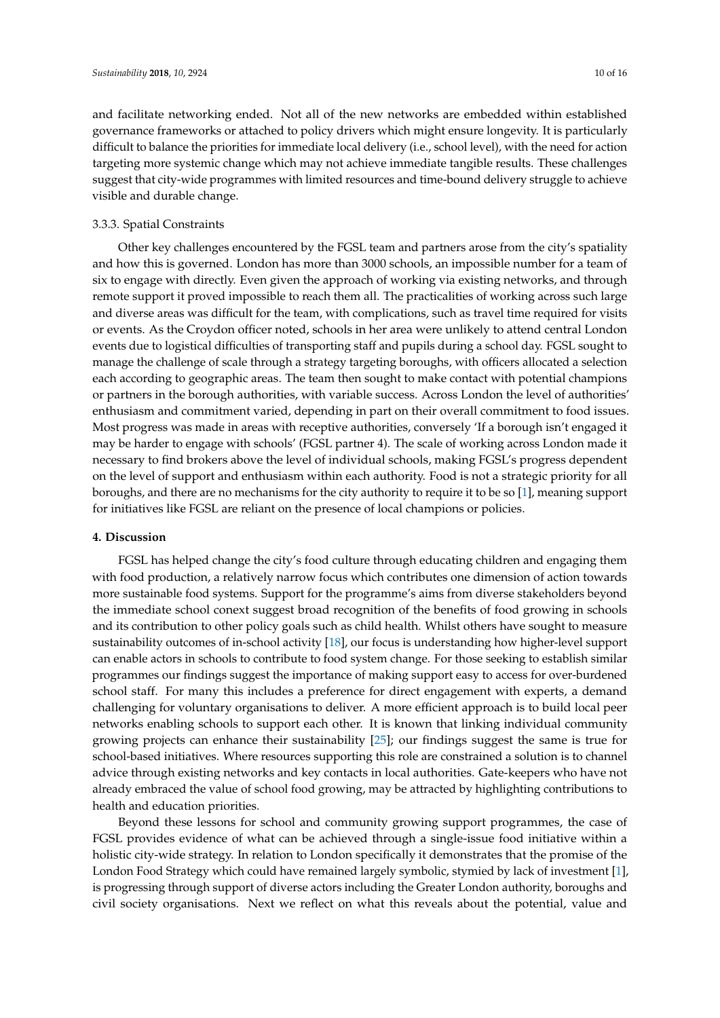and facilitate networking ended. Not all of the new networks are embedded within established governance frameworks or attached to policy drivers which might ensure longevity. It is particularly difficult to balance the priorities for immediate local delivery (i.e., school level), with the need for action targeting more systemic change which may not achieve immediate tangible results. These challenges suggest that city-wide programmes with limited resources and time-bound delivery struggle to achieve visible and durable change.

# 3.3.3. Spatial Constraints

Other key challenges encountered by the FGSL team and partners arose from the city's spatiality and how this is governed. London has more than 3000 schools, an impossible number for a team of six to engage with directly. Even given the approach of working via existing networks, and through remote support it proved impossible to reach them all. The practicalities of working across such large and diverse areas was difficult for the team, with complications, such as travel time required for visits or events. As the Croydon officer noted, schools in her area were unlikely to attend central London events due to logistical difficulties of transporting staff and pupils during a school day. FGSL sought to manage the challenge of scale through a strategy targeting boroughs, with officers allocated a selection each according to geographic areas. The team then sought to make contact with potential champions or partners in the borough authorities, with variable success. Across London the level of authorities' enthusiasm and commitment varied, depending in part on their overall commitment to food issues. Most progress was made in areas with receptive authorities, conversely 'If a borough isn't engaged it may be harder to engage with schools' (FGSL partner 4). The scale of working across London made it necessary to find brokers above the level of individual schools, making FGSL's progress dependent on the level of support and enthusiasm within each authority. Food is not a strategic priority for all boroughs, and there are no mechanisms for the city authority to require it to be so [\[1\]](#page-13-0), meaning support for initiatives like FGSL are reliant on the presence of local champions or policies.

# **4. Discussion**

FGSL has helped change the city's food culture through educating children and engaging them with food production, a relatively narrow focus which contributes one dimension of action towards more sustainable food systems. Support for the programme's aims from diverse stakeholders beyond the immediate school conext suggest broad recognition of the benefits of food growing in schools and its contribution to other policy goals such as child health. Whilst others have sought to measure sustainability outcomes of in-school activity [\[18\]](#page-14-16), our focus is understanding how higher-level support can enable actors in schools to contribute to food system change. For those seeking to establish similar programmes our findings suggest the importance of making support easy to access for over-burdened school staff. For many this includes a preference for direct engagement with experts, a demand challenging for voluntary organisations to deliver. A more efficient approach is to build local peer networks enabling schools to support each other. It is known that linking individual community growing projects can enhance their sustainability [\[25\]](#page-14-23); our findings suggest the same is true for school-based initiatives. Where resources supporting this role are constrained a solution is to channel advice through existing networks and key contacts in local authorities. Gate-keepers who have not already embraced the value of school food growing, may be attracted by highlighting contributions to health and education priorities.

Beyond these lessons for school and community growing support programmes, the case of FGSL provides evidence of what can be achieved through a single-issue food initiative within a holistic city-wide strategy. In relation to London specifically it demonstrates that the promise of the London Food Strategy which could have remained largely symbolic, stymied by lack of investment [\[1\]](#page-13-0), is progressing through support of diverse actors including the Greater London authority, boroughs and civil society organisations. Next we reflect on what this reveals about the potential, value and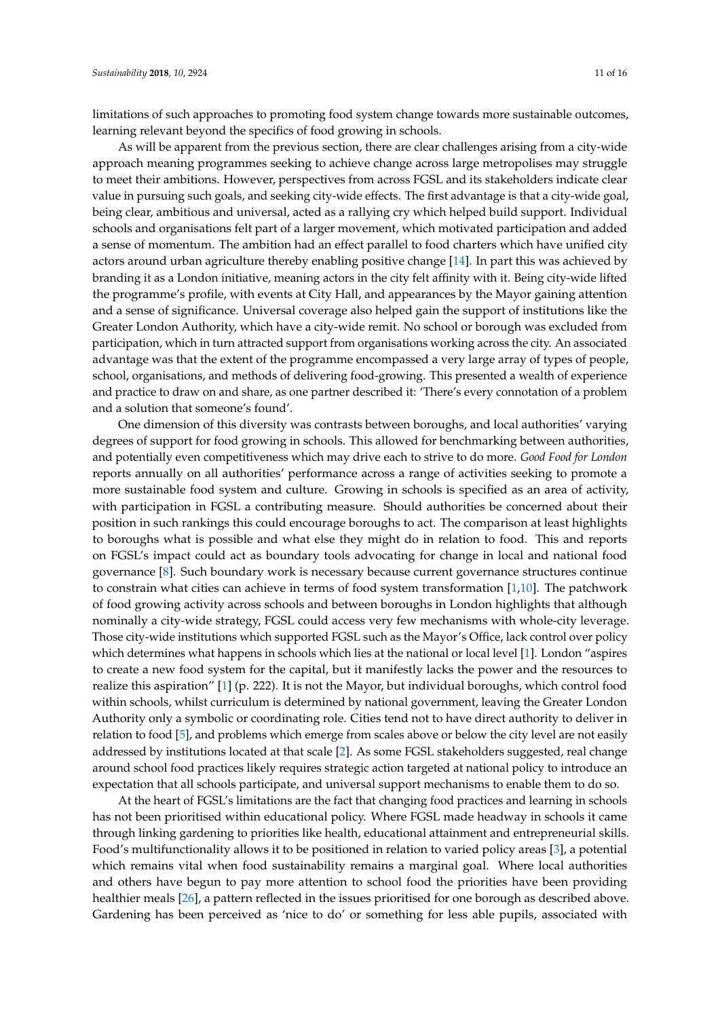limitations of such approaches to promoting food system change towards more sustainable outcomes, learning relevant beyond the specifics of food growing in schools.

As will be apparent from the previous section, there are clear challenges arising from a city-wide approach meaning programmes seeking to achieve change across large metropolises may struggle to meet their ambitions. However, perspectives from across FGSL and its stakeholders indicate clear value in pursuing such goals, and seeking city-wide effects. The first advantage is that a city-wide goal, being clear, ambitious and universal, acted as a rallying cry which helped build support. Individual schools and organisations felt part of a larger movement, which motivated participation and added a sense of momentum. The ambition had an effect parallel to food charters which have unified city actors around urban agriculture thereby enabling positive change [\[14\]](#page-14-12). In part this was achieved by branding it as a London initiative, meaning actors in the city felt affinity with it. Being city-wide lifted the programme's profile, with events at City Hall, and appearances by the Mayor gaining attention and a sense of significance. Universal coverage also helped gain the support of institutions like the Greater London Authority, which have a city-wide remit. No school or borough was excluded from participation, which in turn attracted support from organisations working across the city. An associated advantage was that the extent of the programme encompassed a very large array of types of people, school, organisations, and methods of delivering food-growing. This presented a wealth of experience and practice to draw on and share, as one partner described it: 'There's every connotation of a problem and a solution that someone's found'.

One dimension of this diversity was contrasts between boroughs, and local authorities' varying degrees of support for food growing in schools. This allowed for benchmarking between authorities, and potentially even competitiveness which may drive each to strive to do more. *Good Food for London* reports annually on all authorities' performance across a range of activities seeking to promote a more sustainable food system and culture. Growing in schools is specified as an area of activity, with participation in FGSL a contributing measure. Should authorities be concerned about their position in such rankings this could encourage boroughs to act. The comparison at least highlights to boroughs what is possible and what else they might do in relation to food. This and reports on FGSL's impact could act as boundary tools advocating for change in local and national food governance [\[8\]](#page-14-6). Such boundary work is necessary because current governance structures continue to constrain what cities can achieve in terms of food system transformation [\[1](#page-13-0)[,10\]](#page-14-8). The patchwork of food growing activity across schools and between boroughs in London highlights that although nominally a city-wide strategy, FGSL could access very few mechanisms with whole-city leverage. Those city-wide institutions which supported FGSL such as the Mayor's Office, lack control over policy which determines what happens in schools which lies at the national or local level [\[1\]](#page-13-0). London "aspires to create a new food system for the capital, but it manifestly lacks the power and the resources to realize this aspiration" [\[1\]](#page-13-0) (p. 222). It is not the Mayor, but individual boroughs, which control food within schools, whilst curriculum is determined by national government, leaving the Greater London Authority only a symbolic or coordinating role. Cities tend not to have direct authority to deliver in relation to food [\[5\]](#page-14-3), and problems which emerge from scales above or below the city level are not easily addressed by institutions located at that scale [\[2\]](#page-14-0). As some FGSL stakeholders suggested, real change around school food practices likely requires strategic action targeted at national policy to introduce an expectation that all schools participate, and universal support mechanisms to enable them to do so.

At the heart of FGSL's limitations are the fact that changing food practices and learning in schools has not been prioritised within educational policy. Where FGSL made headway in schools it came through linking gardening to priorities like health, educational attainment and entrepreneurial skills. Food's multifunctionality allows it to be positioned in relation to varied policy areas [\[3\]](#page-14-1), a potential which remains vital when food sustainability remains a marginal goal. Where local authorities and others have begun to pay more attention to school food the priorities have been providing healthier meals [\[26\]](#page-15-0), a pattern reflected in the issues prioritised for one borough as described above. Gardening has been perceived as 'nice to do' or something for less able pupils, associated with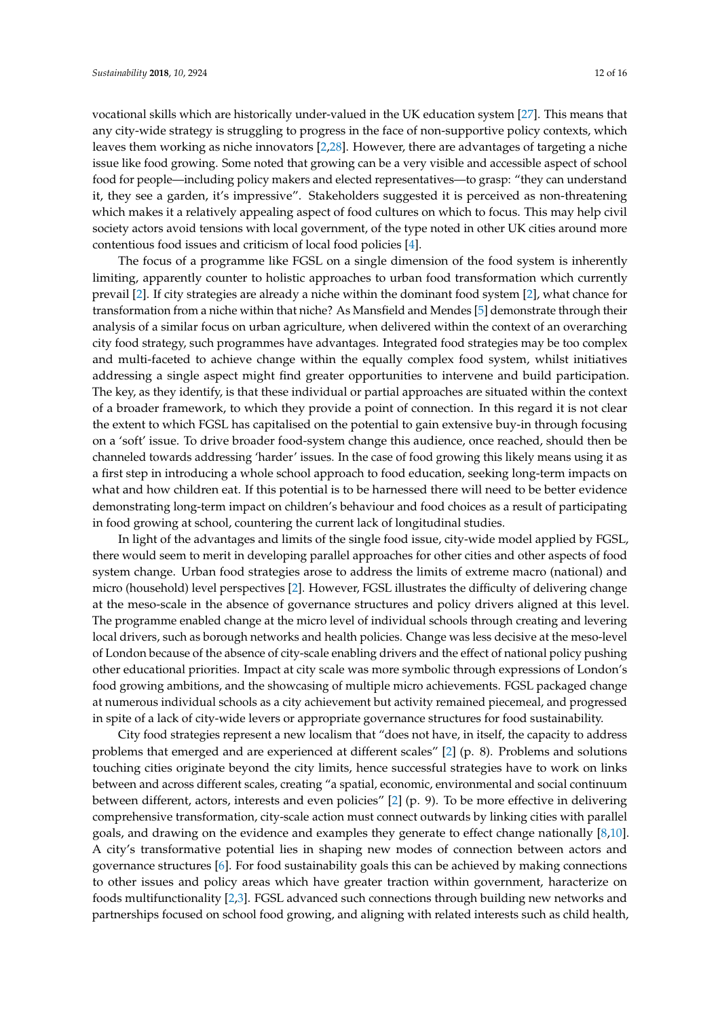vocational skills which are historically under-valued in the UK education system [\[27\]](#page-15-1). This means that any city-wide strategy is struggling to progress in the face of non-supportive policy contexts, which leaves them working as niche innovators [\[2,](#page-14-0)[28\]](#page-15-2). However, there are advantages of targeting a niche issue like food growing. Some noted that growing can be a very visible and accessible aspect of school food for people—including policy makers and elected representatives—to grasp: "they can understand it, they see a garden, it's impressive". Stakeholders suggested it is perceived as non-threatening which makes it a relatively appealing aspect of food cultures on which to focus. This may help civil society actors avoid tensions with local government, of the type noted in other UK cities around more contentious food issues and criticism of local food policies [\[4\]](#page-14-2).

The focus of a programme like FGSL on a single dimension of the food system is inherently limiting, apparently counter to holistic approaches to urban food transformation which currently prevail [\[2\]](#page-14-0). If city strategies are already a niche within the dominant food system [\[2\]](#page-14-0), what chance for transformation from a niche within that niche? As Mansfield and Mendes [\[5\]](#page-14-3) demonstrate through their analysis of a similar focus on urban agriculture, when delivered within the context of an overarching city food strategy, such programmes have advantages. Integrated food strategies may be too complex and multi-faceted to achieve change within the equally complex food system, whilst initiatives addressing a single aspect might find greater opportunities to intervene and build participation. The key, as they identify, is that these individual or partial approaches are situated within the context of a broader framework, to which they provide a point of connection. In this regard it is not clear the extent to which FGSL has capitalised on the potential to gain extensive buy-in through focusing on a 'soft' issue. To drive broader food-system change this audience, once reached, should then be channeled towards addressing 'harder' issues. In the case of food growing this likely means using it as a first step in introducing a whole school approach to food education, seeking long-term impacts on what and how children eat. If this potential is to be harnessed there will need to be better evidence demonstrating long-term impact on children's behaviour and food choices as a result of participating in food growing at school, countering the current lack of longitudinal studies.

In light of the advantages and limits of the single food issue, city-wide model applied by FGSL, there would seem to merit in developing parallel approaches for other cities and other aspects of food system change. Urban food strategies arose to address the limits of extreme macro (national) and micro (household) level perspectives [\[2\]](#page-14-0). However, FGSL illustrates the difficulty of delivering change at the meso-scale in the absence of governance structures and policy drivers aligned at this level. The programme enabled change at the micro level of individual schools through creating and levering local drivers, such as borough networks and health policies. Change was less decisive at the meso-level of London because of the absence of city-scale enabling drivers and the effect of national policy pushing other educational priorities. Impact at city scale was more symbolic through expressions of London's food growing ambitions, and the showcasing of multiple micro achievements. FGSL packaged change at numerous individual schools as a city achievement but activity remained piecemeal, and progressed in spite of a lack of city-wide levers or appropriate governance structures for food sustainability.

City food strategies represent a new localism that "does not have, in itself, the capacity to address problems that emerged and are experienced at different scales" [\[2\]](#page-14-0) (p. 8). Problems and solutions touching cities originate beyond the city limits, hence successful strategies have to work on links between and across different scales, creating "a spatial, economic, environmental and social continuum between different, actors, interests and even policies" [\[2\]](#page-14-0) (p. 9). To be more effective in delivering comprehensive transformation, city-scale action must connect outwards by linking cities with parallel goals, and drawing on the evidence and examples they generate to effect change nationally [\[8,](#page-14-6)[10\]](#page-14-8). A city's transformative potential lies in shaping new modes of connection between actors and governance structures [\[6\]](#page-14-4). For food sustainability goals this can be achieved by making connections to other issues and policy areas which have greater traction within government, haracterize on foods multifunctionality [\[2,](#page-14-0)[3\]](#page-14-1). FGSL advanced such connections through building new networks and partnerships focused on school food growing, and aligning with related interests such as child health,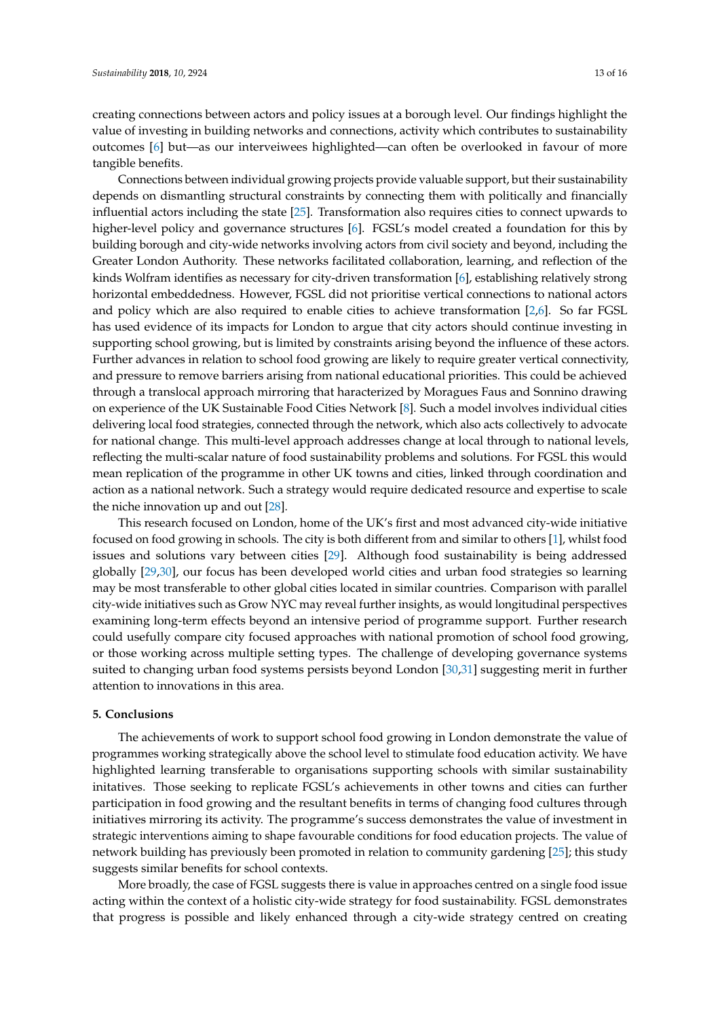creating connections between actors and policy issues at a borough level. Our findings highlight the value of investing in building networks and connections, activity which contributes to sustainability outcomes [\[6\]](#page-14-4) but—as our interveiwees highlighted—can often be overlooked in favour of more tangible benefits.

Connections between individual growing projects provide valuable support, but their sustainability depends on dismantling structural constraints by connecting them with politically and financially influential actors including the state [\[25\]](#page-14-23). Transformation also requires cities to connect upwards to higher-level policy and governance structures [\[6\]](#page-14-4). FGSL's model created a foundation for this by building borough and city-wide networks involving actors from civil society and beyond, including the Greater London Authority. These networks facilitated collaboration, learning, and reflection of the kinds Wolfram identifies as necessary for city-driven transformation [\[6\]](#page-14-4), establishing relatively strong horizontal embeddedness. However, FGSL did not prioritise vertical connections to national actors and policy which are also required to enable cities to achieve transformation [\[2,](#page-14-0)[6\]](#page-14-4). So far FGSL has used evidence of its impacts for London to argue that city actors should continue investing in supporting school growing, but is limited by constraints arising beyond the influence of these actors. Further advances in relation to school food growing are likely to require greater vertical connectivity, and pressure to remove barriers arising from national educational priorities. This could be achieved through a translocal approach mirroring that haracterized by Moragues Faus and Sonnino drawing on experience of the UK Sustainable Food Cities Network [\[8\]](#page-14-6). Such a model involves individual cities delivering local food strategies, connected through the network, which also acts collectively to advocate for national change. This multi-level approach addresses change at local through to national levels, reflecting the multi-scalar nature of food sustainability problems and solutions. For FGSL this would mean replication of the programme in other UK towns and cities, linked through coordination and action as a national network. Such a strategy would require dedicated resource and expertise to scale the niche innovation up and out [\[28\]](#page-15-2).

This research focused on London, home of the UK's first and most advanced city-wide initiative focused on food growing in schools. The city is both different from and similar to others [\[1\]](#page-13-0), whilst food issues and solutions vary between cities [\[29\]](#page-15-3). Although food sustainability is being addressed globally [\[29,](#page-15-3)[30\]](#page-15-4), our focus has been developed world cities and urban food strategies so learning may be most transferable to other global cities located in similar countries. Comparison with parallel city-wide initiatives such as Grow NYC may reveal further insights, as would longitudinal perspectives examining long-term effects beyond an intensive period of programme support. Further research could usefully compare city focused approaches with national promotion of school food growing, or those working across multiple setting types. The challenge of developing governance systems suited to changing urban food systems persists beyond London [\[30](#page-15-4)[,31\]](#page-15-5) suggesting merit in further attention to innovations in this area.

#### **5. Conclusions**

The achievements of work to support school food growing in London demonstrate the value of programmes working strategically above the school level to stimulate food education activity. We have highlighted learning transferable to organisations supporting schools with similar sustainability initatives. Those seeking to replicate FGSL's achievements in other towns and cities can further participation in food growing and the resultant benefits in terms of changing food cultures through initiatives mirroring its activity. The programme's success demonstrates the value of investment in strategic interventions aiming to shape favourable conditions for food education projects. The value of network building has previously been promoted in relation to community gardening [\[25\]](#page-14-23); this study suggests similar benefits for school contexts.

More broadly, the case of FGSL suggests there is value in approaches centred on a single food issue acting within the context of a holistic city-wide strategy for food sustainability. FGSL demonstrates that progress is possible and likely enhanced through a city-wide strategy centred on creating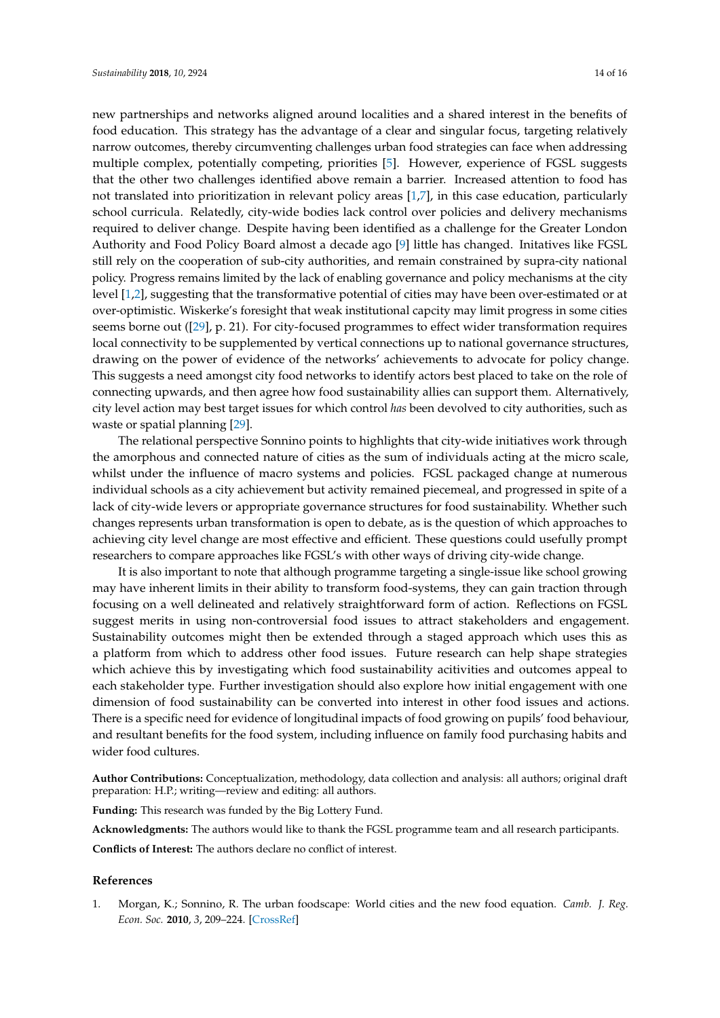new partnerships and networks aligned around localities and a shared interest in the benefits of food education. This strategy has the advantage of a clear and singular focus, targeting relatively narrow outcomes, thereby circumventing challenges urban food strategies can face when addressing multiple complex, potentially competing, priorities [\[5\]](#page-14-3). However, experience of FGSL suggests that the other two challenges identified above remain a barrier. Increased attention to food has not translated into prioritization in relevant policy areas [\[1](#page-13-0)[,7\]](#page-14-5), in this case education, particularly school curricula. Relatedly, city-wide bodies lack control over policies and delivery mechanisms required to deliver change. Despite having been identified as a challenge for the Greater London Authority and Food Policy Board almost a decade ago [\[9\]](#page-14-7) little has changed. Initatives like FGSL still rely on the cooperation of sub-city authorities, and remain constrained by supra-city national policy. Progress remains limited by the lack of enabling governance and policy mechanisms at the city level [\[1,](#page-13-0)[2\]](#page-14-0), suggesting that the transformative potential of cities may have been over-estimated or at over-optimistic. Wiskerke's foresight that weak institutional capcity may limit progress in some cities seems borne out ([\[29\]](#page-15-3), p. 21). For city-focused programmes to effect wider transformation requires local connectivity to be supplemented by vertical connections up to national governance structures, drawing on the power of evidence of the networks' achievements to advocate for policy change. This suggests a need amongst city food networks to identify actors best placed to take on the role of connecting upwards, and then agree how food sustainability allies can support them. Alternatively, city level action may best target issues for which control *has* been devolved to city authorities, such as waste or spatial planning [\[29\]](#page-15-3).

The relational perspective Sonnino points to highlights that city-wide initiatives work through the amorphous and connected nature of cities as the sum of individuals acting at the micro scale, whilst under the influence of macro systems and policies. FGSL packaged change at numerous individual schools as a city achievement but activity remained piecemeal, and progressed in spite of a lack of city-wide levers or appropriate governance structures for food sustainability. Whether such changes represents urban transformation is open to debate, as is the question of which approaches to achieving city level change are most effective and efficient. These questions could usefully prompt researchers to compare approaches like FGSL's with other ways of driving city-wide change.

It is also important to note that although programme targeting a single-issue like school growing may have inherent limits in their ability to transform food-systems, they can gain traction through focusing on a well delineated and relatively straightforward form of action. Reflections on FGSL suggest merits in using non-controversial food issues to attract stakeholders and engagement. Sustainability outcomes might then be extended through a staged approach which uses this as a platform from which to address other food issues. Future research can help shape strategies which achieve this by investigating which food sustainability acitivities and outcomes appeal to each stakeholder type. Further investigation should also explore how initial engagement with one dimension of food sustainability can be converted into interest in other food issues and actions. There is a specific need for evidence of longitudinal impacts of food growing on pupils' food behaviour, and resultant benefits for the food system, including influence on family food purchasing habits and wider food cultures.

**Author Contributions:** Conceptualization, methodology, data collection and analysis: all authors; original draft preparation: H.P.; writing—review and editing: all authors.

**Funding:** This research was funded by the Big Lottery Fund.

**Acknowledgments:** The authors would like to thank the FGSL programme team and all research participants.

**Conflicts of Interest:** The authors declare no conflict of interest.

#### **References**

<span id="page-13-0"></span>1. Morgan, K.; Sonnino, R. The urban foodscape: World cities and the new food equation. *Camb. J. Reg. Econ. Soc.* **2010**, *3*, 209–224. [\[CrossRef\]](http://dx.doi.org/10.1093/cjres/rsq007)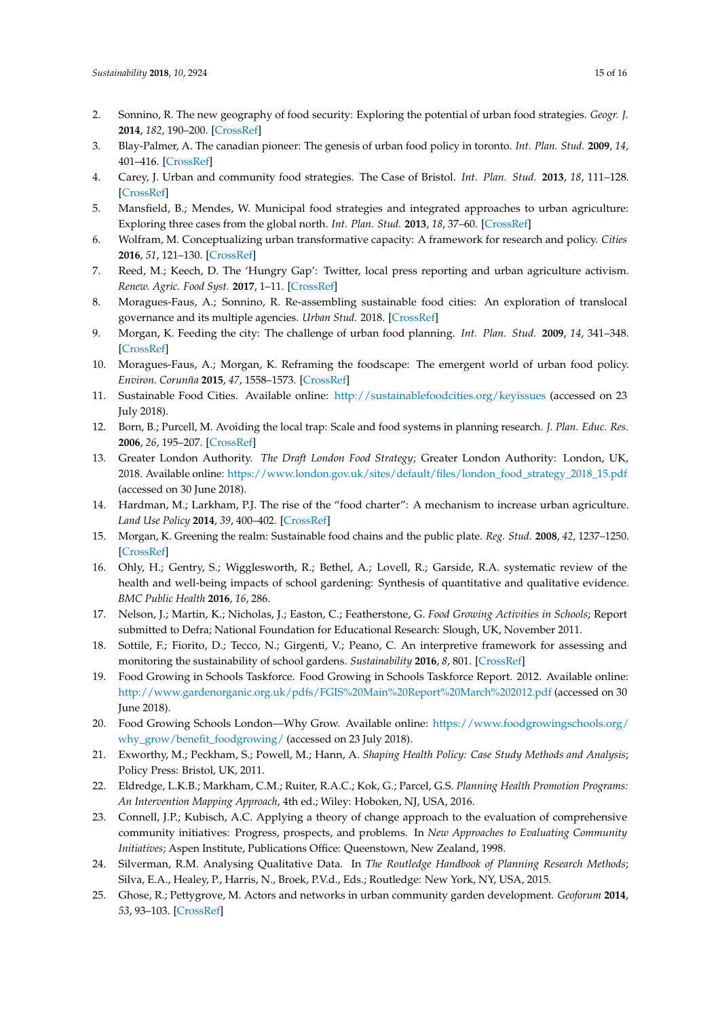- <span id="page-14-0"></span>2. Sonnino, R. The new geography of food security: Exploring the potential of urban food strategies. *Geogr. J.* **2014**, *182*, 190–200. [\[CrossRef\]](http://dx.doi.org/10.1111/geoj.12129)
- <span id="page-14-1"></span>3. Blay-Palmer, A. The canadian pioneer: The genesis of urban food policy in toronto. *Int. Plan. Stud.* **2009**, *14*, 401–416. [\[CrossRef\]](http://dx.doi.org/10.1080/13563471003642837)
- <span id="page-14-2"></span>4. Carey, J. Urban and community food strategies. The Case of Bristol. *Int. Plan. Stud.* **2013**, *18*, 111–128. [\[CrossRef\]](http://dx.doi.org/10.1080/13563475.2013.750938)
- <span id="page-14-3"></span>5. Mansfield, B.; Mendes, W. Municipal food strategies and integrated approaches to urban agriculture: Exploring three cases from the global north. *Int. Plan. Stud.* **2013**, *18*, 37–60. [\[CrossRef\]](http://dx.doi.org/10.1080/13563475.2013.750942)
- <span id="page-14-4"></span>6. Wolfram, M. Conceptualizing urban transformative capacity: A framework for research and policy. *Cities* **2016**, *51*, 121–130. [\[CrossRef\]](http://dx.doi.org/10.1016/j.cities.2015.11.011)
- <span id="page-14-5"></span>7. Reed, M.; Keech, D. The 'Hungry Gap': Twitter, local press reporting and urban agriculture activism. *Renew. Agric. Food Syst.* **2017**, 1–11. [\[CrossRef\]](http://dx.doi.org/10.1017/S1742170517000448)
- <span id="page-14-6"></span>8. Moragues-Faus, A.; Sonnino, R. Re-assembling sustainable food cities: An exploration of translocal governance and its multiple agencies. *Urban Stud.* 2018. [\[CrossRef\]](http://dx.doi.org/10.1177/0042098018763038)
- <span id="page-14-7"></span>9. Morgan, K. Feeding the city: The challenge of urban food planning. *Int. Plan. Stud.* **2009**, *14*, 341–348. [\[CrossRef\]](http://dx.doi.org/10.1080/13563471003642852)
- <span id="page-14-8"></span>10. Moragues-Faus, A.; Morgan, K. Reframing the foodscape: The emergent world of urban food policy. *Environ. Corunña* **2015**, *47*, 1558–1573. [\[CrossRef\]](http://dx.doi.org/10.1177/0308518x15595754)
- <span id="page-14-9"></span>11. Sustainable Food Cities. Available online: <http://sustainablefoodcities.org/keyissues> (accessed on 23 July 2018).
- <span id="page-14-10"></span>12. Born, B.; Purcell, M. Avoiding the local trap: Scale and food systems in planning research. *J. Plan. Educ. Res.* **2006**, *26*, 195–207. [\[CrossRef\]](http://dx.doi.org/10.1177/0739456X06291389)
- <span id="page-14-11"></span>13. Greater London Authority. *The Draft London Food Strategy*; Greater London Authority: London, UK, 2018. Available online: [https://www.london.gov.uk/sites/default/files/london\\_food\\_strategy\\_2018\\_15.pdf](https://www.london.gov.uk/sites/default/files/london_food_strategy_2018_15.pdf) (accessed on 30 June 2018).
- <span id="page-14-12"></span>14. Hardman, M.; Larkham, P.J. The rise of the "food charter": A mechanism to increase urban agriculture. *Land Use Policy* **2014**, *39*, 400–402. [\[CrossRef\]](http://dx.doi.org/10.1016/j.landusepol.2014.02.022)
- <span id="page-14-13"></span>15. Morgan, K. Greening the realm: Sustainable food chains and the public plate. *Reg. Stud.* **2008**, *42*, 1237–1250. [\[CrossRef\]](http://dx.doi.org/10.1080/00343400802195154)
- <span id="page-14-14"></span>16. Ohly, H.; Gentry, S.; Wigglesworth, R.; Bethel, A.; Lovell, R.; Garside, R.A. systematic review of the health and well-being impacts of school gardening: Synthesis of quantitative and qualitative evidence. *BMC Public Health* **2016**, *16*, 286.
- <span id="page-14-15"></span>17. Nelson, J.; Martin, K.; Nicholas, J.; Easton, C.; Featherstone, G. *Food Growing Activities in Schools*; Report submitted to Defra; National Foundation for Educational Research: Slough, UK, November 2011.
- <span id="page-14-16"></span>18. Sottile, F.; Fiorito, D.; Tecco, N.; Girgenti, V.; Peano, C. An interpretive framework for assessing and monitoring the sustainability of school gardens. *Sustainability* **2016**, *8*, 801. [\[CrossRef\]](http://dx.doi.org/10.3390/su8080801)
- <span id="page-14-17"></span>19. Food Growing in Schools Taskforce. Food Growing in Schools Taskforce Report. 2012. Available online: <http://www.gardenorganic.org.uk/pdfs/FGIS%20Main%20Report%20March%202012.pdf> (accessed on 30 June 2018).
- <span id="page-14-18"></span>20. Food Growing Schools London—Why Grow. Available online: [https://www.foodgrowingschools.org/](https://www.foodgrowingschools.org/why_grow/benefit_foodgrowing/) [why\\_grow/benefit\\_foodgrowing/](https://www.foodgrowingschools.org/why_grow/benefit_foodgrowing/) (accessed on 23 July 2018).
- <span id="page-14-19"></span>21. Exworthy, M.; Peckham, S.; Powell, M.; Hann, A. *Shaping Health Policy: Case Study Methods and Analysis*; Policy Press: Bristol, UK, 2011.
- <span id="page-14-20"></span>22. Eldredge, L.K.B.; Markham, C.M.; Ruiter, R.A.C.; Kok, G.; Parcel, G.S. *Planning Health Promotion Programs: An Intervention Mapping Approach*, 4th ed.; Wiley: Hoboken, NJ, USA, 2016.
- <span id="page-14-21"></span>23. Connell, J.P.; Kubisch, A.C. Applying a theory of change approach to the evaluation of comprehensive community initiatives: Progress, prospects, and problems. In *New Approaches to Evaluating Community Initiatives*; Aspen Institute, Publications Office: Queenstown, New Zealand, 1998.
- <span id="page-14-22"></span>24. Silverman, R.M. Analysing Qualitative Data. In *The Routledge Handbook of Planning Research Methods*; Silva, E.A., Healey, P., Harris, N., Broek, P.V.d., Eds.; Routledge: New York, NY, USA, 2015.
- <span id="page-14-23"></span>25. Ghose, R.; Pettygrove, M. Actors and networks in urban community garden development. *Geoforum* **2014**, *53*, 93–103. [\[CrossRef\]](http://dx.doi.org/10.1016/j.geoforum.2014.02.009)